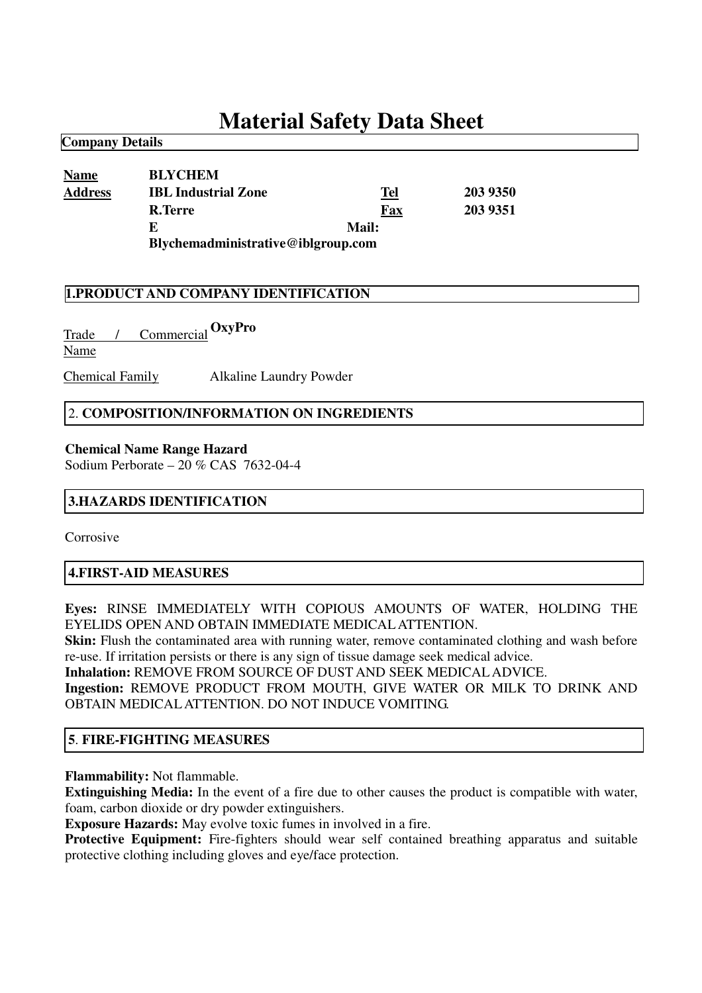# **Material Safety Data Sheet**

| <b>Name</b>    | <b>BLYCHEM</b>                     |       |          |
|----------------|------------------------------------|-------|----------|
|                |                                    |       |          |
| <b>Address</b> | <b>IBL Industrial Zone</b>         | Tel   | 203 9350 |
|                | R.Terre                            | Fax   | 203 9351 |
|                | E                                  | Mail: |          |
|                | Blychemadministrative@iblgroup.com |       |          |

#### **1.PRODUCT AND COMPANY IDENTIFICATION**

Trade / Commercial **OxyPro**Name

**Company Details**

Chemical Family Alkaline Laundry Powder

#### 2. **COMPOSITION/INFORMATION ON INGREDIENTS**

#### **Chemical Name Range Hazard**

Sodium Perborate – 20 % CAS 7632-04-4

#### **3.HAZARDS IDENTIFICATION**

Corrosive

#### **4.FIRST-AID MEASURES**

**Eyes:** RINSE IMMEDIATELY WITH COPIOUS AMOUNTS OF WATER, HOLDING THE EYELIDS OPEN AND OBTAIN IMMEDIATE MEDICALATTENTION.

**Skin:** Flush the contaminated area with running water, remove contaminated clothing and wash before re-use. If irritation persists or there is any sign of tissue damage seek medical advice.

**Inhalation:** REMOVE FROM SOURCE OF DUST AND SEEK MEDICALADVICE.

**Ingestion:** REMOVE PRODUCT FROM MOUTH, GIVE WATER OR MILK TO DRINK AND OBTAIN MEDICALATTENTION. DO NOT INDUCE VOMITING.

#### **5**. **FIRE-FIGHTING MEASURES**

**Flammability:** Not flammable.

**Extinguishing Media:** In the event of a fire due to other causes the product is compatible with water, foam, carbon dioxide or dry powder extinguishers.

**Exposure Hazards:** May evolve toxic fumes in involved in a fire.

**Protective Equipment:** Fire-fighters should wear self contained breathing apparatus and suitable protective clothing including gloves and eye/face protection.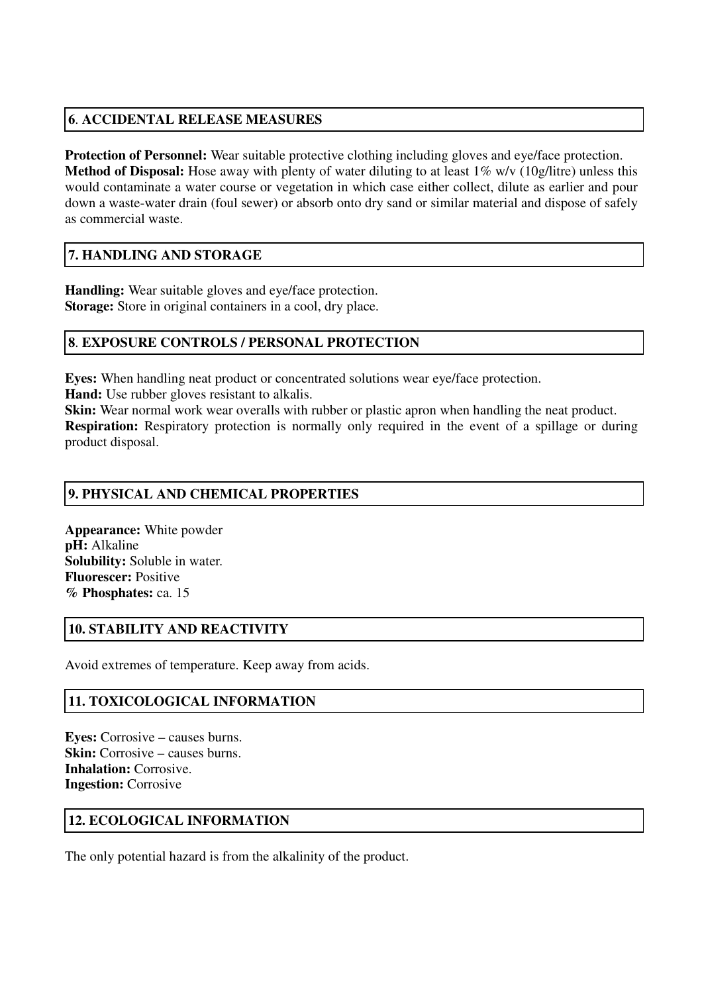# **6**. **ACCIDENTAL RELEASE MEASURES**

**Protection of Personnel:** Wear suitable protective clothing including gloves and eye/face protection. **Method of Disposal:** Hose away with plenty of water diluting to at least 1% w/v (10g/litre) unless this would contaminate a water course or vegetation in which case either collect, dilute as earlier and pour down a waste-water drain (foul sewer) or absorb onto dry sand or similar material and dispose of safely as commercial waste.

## **7. HANDLING AND STORAGE**

**Handling:** Wear suitable gloves and eye/face protection. **Storage:** Store in original containers in a cool, dry place.

## **8**. **EXPOSURE CONTROLS / PERSONAL PROTECTION**

**Eyes:** When handling neat product or concentrated solutions wear eye/face protection.

**Hand:** Use rubber gloves resistant to alkalis.

**Skin:** Wear normal work wear overalls with rubber or plastic apron when handling the neat product. **Respiration:** Respiratory protection is normally only required in the event of a spillage or during product disposal.

# **9. PHYSICAL AND CHEMICAL PROPERTIES**

**Appearance:** White powder **pH:** Alkaline **Solubility:** Soluble in water. **Fluorescer:** Positive **% Phosphates:** ca. 15

## **10. STABILITY AND REACTIVITY**

Avoid extremes of temperature. Keep away from acids.

# **11. TOXICOLOGICAL INFORMATION**

**Eyes:** Corrosive – causes burns. **Skin:** Corrosive – causes burns. **Inhalation:** Corrosive. **Ingestion:** Corrosive

## **12. ECOLOGICAL INFORMATION**

The only potential hazard is from the alkalinity of the product.